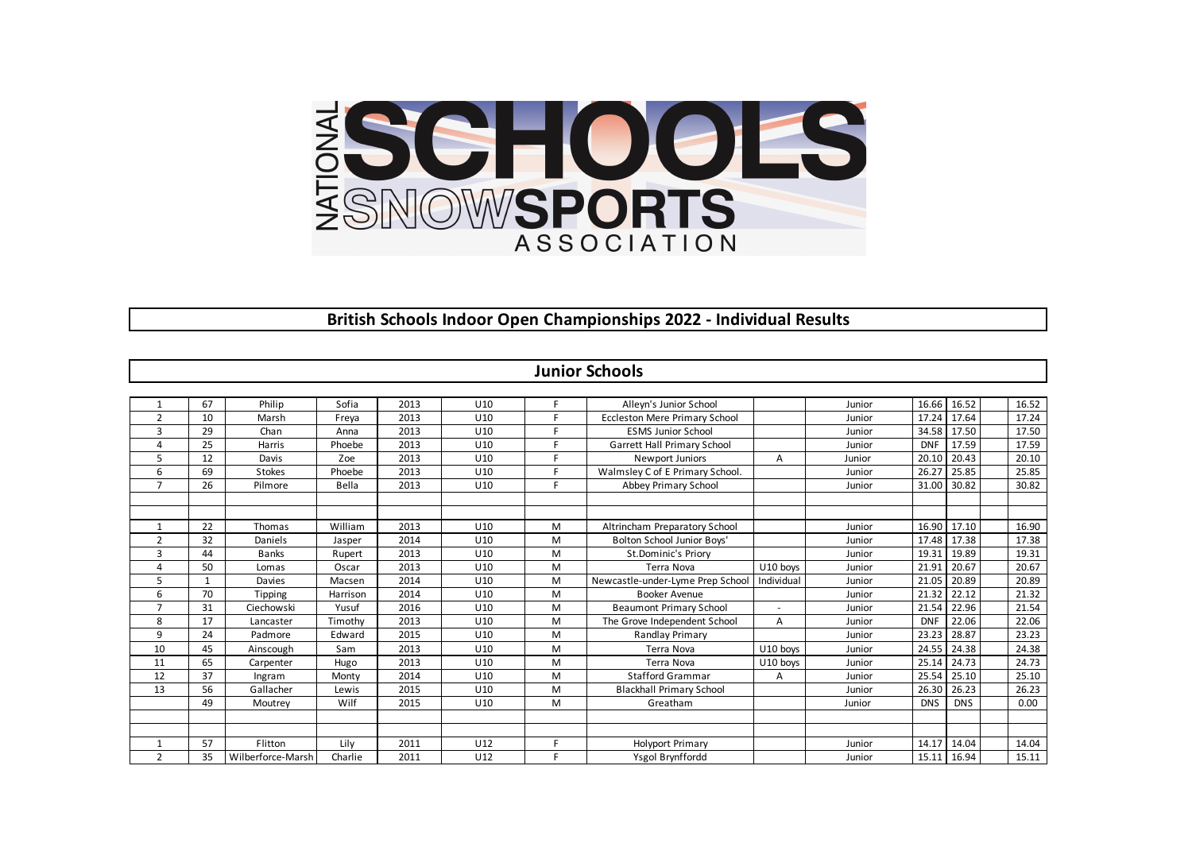

## **British Schools Indoor Open Championships 2022 - Individual Results**

| <b>Junior Schools</b> |    |                   |          |      |     |   |                                      |            |        |            |            |  |       |
|-----------------------|----|-------------------|----------|------|-----|---|--------------------------------------|------------|--------|------------|------------|--|-------|
|                       |    |                   |          |      |     |   |                                      |            |        |            |            |  |       |
|                       | 67 | Philip            | Sofia    | 2013 | U10 | F | Alleyn's Junior School               |            | Junior | 16.66      | 16.52      |  | 16.52 |
| $\overline{2}$        | 10 | Marsh             | Freya    | 2013 | U10 | F | <b>Eccleston Mere Primary School</b> |            | Junior | 17.24      | 17.64      |  | 17.24 |
| 3                     | 29 | Chan              | Anna     | 2013 | U10 | F | <b>ESMS Junior School</b>            |            | Junior | 34.58      | 17.50      |  | 17.50 |
| 4                     | 25 | Harris            | Phoebe   | 2013 | U10 | F | Garrett Hall Primary School          |            | Junior | <b>DNF</b> | 17.59      |  | 17.59 |
| 5                     | 12 | Davis             | Zoe      | 2013 | U10 | F | Newport Juniors                      | A          | Junior | 20.10      | 20.43      |  | 20.10 |
| 6                     | 69 | <b>Stokes</b>     | Phoebe   | 2013 | U10 | F | Walmsley C of E Primary School.      |            | Junior | 26.27      | 25.85      |  | 25.85 |
| $\overline{7}$        | 26 | Pilmore           | Bella    | 2013 | U10 | F | Abbey Primary School                 |            | Junior | 31.00      | 30.82      |  | 30.82 |
|                       |    |                   |          |      |     |   |                                      |            |        |            |            |  |       |
|                       |    |                   |          |      |     |   |                                      |            |        |            |            |  |       |
| 1                     | 22 | Thomas            | William  | 2013 | U10 | M | Altrincham Preparatory School        |            | Junior | 16.90      | 17.10      |  | 16.90 |
| $\overline{2}$        | 32 | Daniels           | Jasper   | 2014 | U10 | M | Bolton School Junior Boys'           |            | Junior | 17.48      | 17.38      |  | 17.38 |
| 3                     | 44 | <b>Banks</b>      | Rupert   | 2013 | U10 | м | St.Dominic's Priory                  |            | Junior | 19.31      | 19.89      |  | 19.31 |
| $\overline{4}$        | 50 | Lomas             | Oscar    | 2013 | U10 | M | Terra Nova                           | U10 boys   | Junior | 21.91      | 20.67      |  | 20.67 |
| 5                     | 1  | Davies            | Macsen   | 2014 | U10 | м | Newcastle-under-Lyme Prep School     | Individual | Junior | 21.05      | 20.89      |  | 20.89 |
| 6                     | 70 | Tipping           | Harrison | 2014 | U10 | M | <b>Booker Avenue</b>                 |            | Junior | 21.32      | 22.12      |  | 21.32 |
| $\overline{7}$        | 31 | Ciechowski        | Yusuf    | 2016 | U10 | M | <b>Beaumont Primary School</b>       |            | Junior | 21.54      | 22.96      |  | 21.54 |
| 8                     | 17 | Lancaster         | Timothy  | 2013 | U10 | M | The Grove Independent School         | A          | Junior | <b>DNF</b> | 22.06      |  | 22.06 |
| 9                     | 24 | Padmore           | Edward   | 2015 | U10 | M | Randlay Primary                      |            | Junior | 23.23      | 28.87      |  | 23.23 |
| 10                    | 45 | Ainscough         | Sam      | 2013 | U10 | M | <b>Terra Nova</b>                    | U10 boys   | Junior | 24.55      | 24.38      |  | 24.38 |
| 11                    | 65 | Carpenter         | Hugo     | 2013 | U10 | M | <b>Terra Nova</b>                    | U10 boys   | Junior | 25.14      | 24.73      |  | 24.73 |
| 12                    | 37 | Ingram            | Monty    | 2014 | U10 | M | <b>Stafford Grammar</b>              | A          | Junior | 25.54      | 25.10      |  | 25.10 |
| 13                    | 56 | Gallacher         | Lewis    | 2015 | U10 | M | <b>Blackhall Primary School</b>      |            | Junior | 26.30      | 26.23      |  | 26.23 |
|                       | 49 | Moutrey           | Wilf     | 2015 | U10 | M | Greatham                             |            | Junior | <b>DNS</b> | <b>DNS</b> |  | 0.00  |
|                       |    |                   |          |      |     |   |                                      |            |        |            |            |  |       |
|                       |    |                   |          |      |     |   |                                      |            |        |            |            |  |       |
| $\mathbf{1}$          | 57 | Flitton           | Lilv     | 2011 | U12 | F | <b>Holyport Primary</b>              |            | Junior | 14.17      | 14.04      |  | 14.04 |
| $\overline{2}$        | 35 | Wilberforce-Marsh | Charlie  | 2011 | U12 | F | Ysgol Brynffordd                     |            | Junior | 15.11      | 16.94      |  | 15.11 |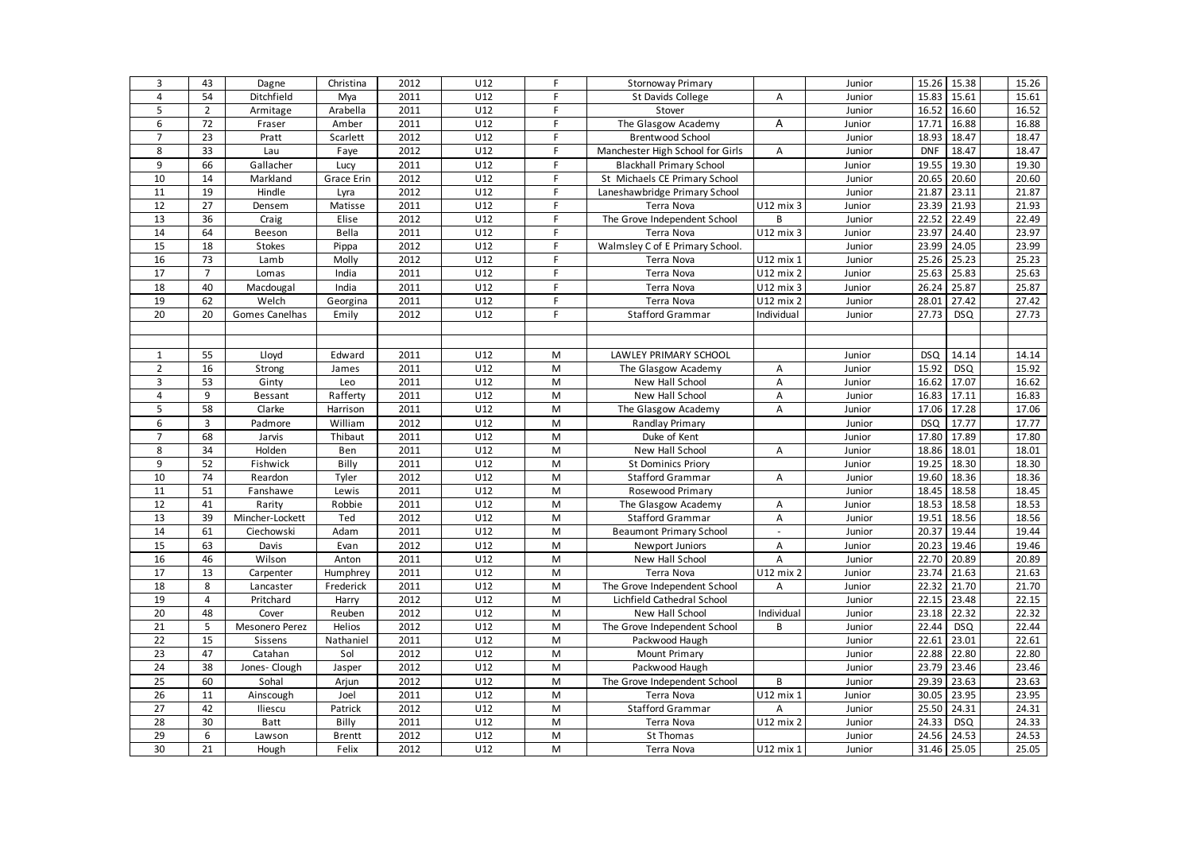| 3               | 43                      | Dagne           | Christina     | 2012 | U12             | F         | <b>Stornoway Primary</b>         |            | Junior | 15.26      | 15.38      | 15.26 |
|-----------------|-------------------------|-----------------|---------------|------|-----------------|-----------|----------------------------------|------------|--------|------------|------------|-------|
| $\overline{4}$  | 54                      | Ditchfield      | Mya           | 2011 | U12             | F         | St Davids College                | А          | Junior | 15.83      | 15.61      | 15.61 |
| 5               | $\overline{2}$          | Armitage        | Arabella      | 2011 | U12             | F.        | Stover                           |            | Junior | 16.52      | 16.60      | 16.52 |
| 6               | 72                      | Fraser          | Amber         | 2011 | U12             | F         | The Glasgow Academy              | Α          | Junior | 17.71      | 16.88      | 16.88 |
| $\overline{7}$  | 23                      | Pratt           | Scarlett      | 2012 | U12             | F         | <b>Brentwood School</b>          |            | Junior | 18.93      | 18.47      | 18.47 |
| 8               | 33                      | Lau             | Faye          | 2012 | U12             | F         | Manchester High School for Girls | А          | Junior | <b>DNF</b> | 18.47      | 18.47 |
| 9               | 66                      | Gallacher       | Lucy          | 2011 | U12             | F         | <b>Blackhall Primary School</b>  |            | Junior | 19.55      | 19.30      | 19.30 |
| 10              | 14                      | Markland        | Grace Erin    | 2012 | U12             | F         | St Michaels CE Primary School    |            | Junior | 20.65      | 20.60      | 20.60 |
| 11              | 19                      | Hindle          | Lyra          | 2012 | U12             | F.        | Laneshawbridge Primary School    |            | Junior | 21.87      | 23.11      | 21.87 |
| 12              | 27                      | Densem          | Matisse       | 2011 | U12             | F.        | Terra Nova                       | U12 mix 3  | Junior | 23.39      | 21.93      | 21.93 |
| 13              | 36                      | Craig           | Elise         | 2012 | U12             | F         | The Grove Independent School     | B          | Junior | 22.52      | 22.49      | 22.49 |
| $\overline{14}$ | 64                      | Beeson          | Bella         | 2011 | U12             | F         | Terra Nova                       | U12 mix 3  | Junior | 23.97      | 24.40      | 23.97 |
| 15              | 18                      | <b>Stokes</b>   | Pippa         | 2012 | U12             | F.        | Walmsley C of E Primary School.  |            | Junior | 23.99      | 24.05      | 23.99 |
| 16              | 73                      | Lamb            | Molly         | 2012 | U12             | F.        | Terra Nova                       | U12 mix 1  | Junior | 25.26      | 25.23      | 25.23 |
| 17              | $\overline{7}$          | Lomas           | India         | 2011 | U12             | F         | Terra Nova                       | U12 mix 2  | Junior | 25.63      | 25.83      | 25.63 |
| 18              | 40                      | Macdougal       | India         | 2011 | U12             | F.        | Terra Nova                       | U12 mix 3  | Junior | 26.24      | 25.87      | 25.87 |
| 19              | 62                      | Welch           | Georgina      | 2011 | U12             | F.        | Terra Nova                       | U12 mix 2  | Junior | 28.01      | 27.42      | 27.42 |
| $\overline{20}$ | 20                      | Gomes Canelhas  | Emily         | 2012 | U12             | F.        | <b>Stafford Grammar</b>          | Individual | Junior | 27.73      | <b>DSQ</b> | 27.73 |
|                 |                         |                 |               |      |                 |           |                                  |            |        |            |            |       |
|                 |                         |                 |               |      |                 |           |                                  |            |        |            |            |       |
| 1               | 55                      | Lloyd           | Edward        | 2011 | U12             | M         | LAWLEY PRIMARY SCHOOL            |            | Junior | <b>DSQ</b> | 14.14      | 14.14 |
| $\overline{2}$  | 16                      | Strong          | James         | 2011 | U12             | M         | The Glasgow Academy              | Α          | Junior | 15.92      | <b>DSQ</b> | 15.92 |
| $\overline{3}$  | 53                      | Ginty           | Leo           | 2011 | U12             | M         | New Hall School                  | Α          | Junior | 16.62      | 17.07      | 16.62 |
| $\overline{4}$  | 9                       | Bessant         | Rafferty      | 2011 | U12             | M         | New Hall School                  | A          | Junior | 16.83      | 17.11      | 16.83 |
| 5               | 58                      | Clarke          | Harrison      | 2011 | U12             | M         | The Glasgow Academy              | A          | Junior | 17.06      | 17.28      | 17.06 |
| 6               | 3                       | Padmore         | William       | 2012 | U12             | M         | Randlay Primary                  |            | Junior | <b>DSQ</b> | 17.77      | 17.77 |
| $\overline{7}$  | 68                      | Jarvis          | Thibaut       | 2011 | U12             | M         | Duke of Kent                     |            | Junior | 17.80      | 17.89      | 17.80 |
| 8               | 34                      | Holden          | Ben           | 2011 | U12             | M         | New Hall School                  | А          | Junior | 18.86      | 18.01      | 18.01 |
| 9               | 52                      | Fishwick        | Billy         | 2011 | U12             | M         | <b>St Dominics Priory</b>        |            | Junior | 19.25      | 18.30      | 18.30 |
| 10              | 74                      | Reardon         | Tyler         | 2012 | U12             | M         | Stafford Grammar                 | А          | Junior | 19.60      | 18.36      | 18.36 |
| 11              | 51                      | Fanshawe        | Lewis         | 2011 | U12             | M         | Rosewood Primary                 |            | Junior | 18.45      | 18.58      | 18.45 |
| $\overline{12}$ | 41                      | Rarity          | Robbie        | 2011 | U12             | M         | The Glasgow Academy              | А          | Junior | 18.53      | 18.58      | 18.53 |
| 13              | 39                      | Mincher-Lockett | Ted           | 2012 | U12             | M         | <b>Stafford Grammar</b>          | A          | Junior | 19.51      | 18.56      | 18.56 |
| 14              | 61                      | Ciechowski      | Adam          | 2011 | U12             | M         | <b>Beaumont Primary School</b>   | $\sim$     | Junior | 20.37      | 19.44      | 19.44 |
| 15              | 63                      | Davis           | Evan          | 2012 | U12             | M         | Newport Juniors                  | Α          | Junior | 20.23      | 19.46      | 19.46 |
| 16              | 46                      | Wilson          | Anton         | 2011 | U12             | M         | New Hall School                  | А          | Junior | 22.70      | 20.89      | 20.89 |
| 17              | 13                      | Carpenter       | Humphrey      | 2011 | U12             | M         | Terra Nova                       | U12 mix 2  | Junior | 23.74      | 21.63      | 21.63 |
| 18              | 8                       | Lancaster       | Frederick     | 2011 | U12             | M         | The Grove Independent School     | Α          | Junior | 22.32      | 21.70      | 21.70 |
| 19              | $\overline{\mathbf{4}}$ | Pritchard       | Harry         | 2012 | U12             | ${\sf M}$ | Lichfield Cathedral School       |            | Junior | 22.15      | 23.48      | 22.15 |
| $\overline{20}$ | 48                      | Cover           | Reuben        | 2012 | U12             | M         | New Hall School                  | Individual | Junior | 23.18      | 22.32      | 22.32 |
| 21              | 5                       | Mesonero Perez  | Helios        | 2012 | U12             | M         | The Grove Independent School     | В          | Junior | 22.44      | <b>DSQ</b> | 22.44 |
| 22              | 15                      | Sissens         | Nathaniel     | 2011 | U12             | M         | Packwood Haugh                   |            | Junior | 22.61      | 23.01      | 22.61 |
| 23              | 47                      | Catahan         | Sol           | 2012 | U12             | M         | Mount Primary                    |            | Junior | 22.88      | 22.80      | 22.80 |
| 24              | 38                      | Jones- Clough   | Jasper        | 2012 | U12             | M         | Packwood Haugh                   |            | Junior | 23.79      | 23.46      | 23.46 |
| 25              | 60                      | Sohal           | Arjun         | 2012 | U12             | M         | The Grove Independent School     | B          | Junior | 29.39      | 23.63      | 23.63 |
| $\overline{26}$ | 11                      | Ainscough       | Joel          | 2011 | U12             | M         | Terra Nova                       | U12 mix 1  | Junior | 30.05      | 23.95      | 23.95 |
| 27              | 42                      | Iliescu         | Patrick       | 2012 | U12             | M         | <b>Stafford Grammar</b>          | Α          | Junior | 25.50      | 24.31      | 24.31 |
| 28              | 30                      | <b>Batt</b>     | Billy         | 2011 | U <sub>12</sub> | M         | Terra Nova                       | U12 mix 2  | Junior | 24.33      | <b>DSQ</b> | 24.33 |
| 29              | 6                       | Lawson          | <b>Brentt</b> | 2012 | U <sub>12</sub> | M         | St Thomas                        |            | Junior | 24.56      | 24.53      | 24.53 |
| 30              | 21                      | Hough           | Felix         | 2012 | U12             | M         | Terra Nova                       | U12 mix 1  | Junior | 31.46      | 25.05      | 25.05 |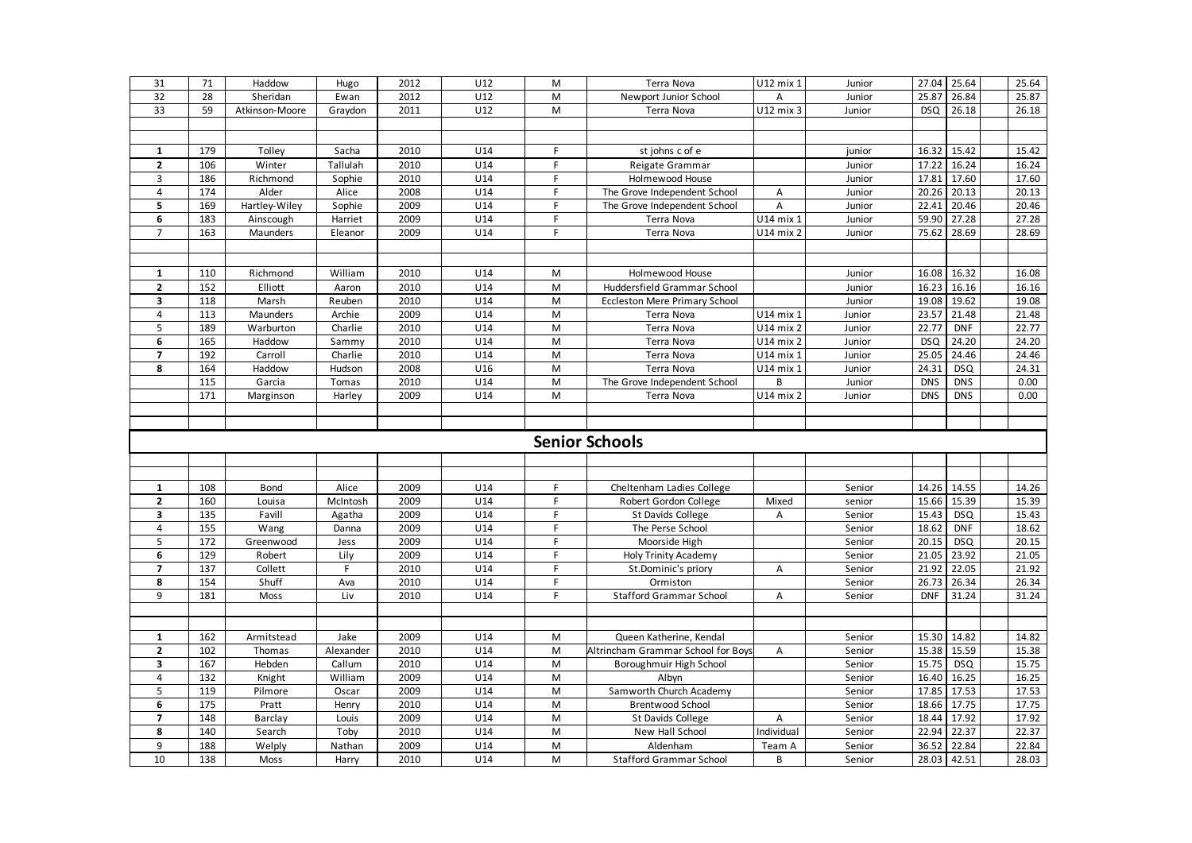| 31                      | 71  | Haddow         | Hugo      | 2012 | U12             | M         | Terra Nova                           | U12 mix 1  | Junior | 27.04      | 25.64      |  | 25.64 |
|-------------------------|-----|----------------|-----------|------|-----------------|-----------|--------------------------------------|------------|--------|------------|------------|--|-------|
| 32                      | 28  | Sheridan       | Ewan      | 2012 | U12             | M         | Newport Junior School                | A          | Junior | 25.87      | 26.84      |  | 25.87 |
| 33                      | 59  | Atkinson-Moore | Graydon   | 2011 | U12             | M         | Terra Nova                           | U12 mix 3  | Junior | <b>DSQ</b> | 26.18      |  | 26.18 |
|                         |     |                |           |      |                 |           |                                      |            |        |            |            |  |       |
|                         |     |                |           |      |                 |           |                                      |            |        |            |            |  |       |
| 1                       | 179 | Tolley         | Sacha     | 2010 | U14             | F         | st johns c of e                      |            | junior | 16.32      | 15.42      |  | 15.42 |
| $\mathbf{2}$            | 106 | Winter         | Tallulah  | 2010 | U <sub>14</sub> | F.        | Reigate Grammar                      |            | Junior | 17.22      | 16.24      |  | 16.24 |
| 3                       | 186 | Richmond       | Sophie    | 2010 | U14             | F         | Holmewood House                      |            | Junior | 17.81      | 17.60      |  | 17.60 |
| $\overline{4}$          | 174 | Alder          | Alice     | 2008 | U <sub>14</sub> | F         | The Grove Independent School         | A          | Junior | 20.26      | 20.13      |  | 20.13 |
| 5                       | 169 | Hartley-Wiley  | Sophie    | 2009 | U14             | F         | The Grove Independent School         | A          | Junior | 22.41      | 20.46      |  | 20.46 |
| 6                       | 183 | Ainscough      | Harriet   | 2009 | U14             | F.        | Terra Nova                           | U14 mix 1  | Junior | 59.90      | 27.28      |  | 27.28 |
| $\overline{7}$          | 163 | Maunders       | Eleanor   | 2009 | U14             | F         | Terra Nova                           | U14 mix 2  | Junior | 75.62      | 28.69      |  | 28.69 |
|                         |     |                |           |      |                 |           |                                      |            |        |            |            |  |       |
|                         |     |                |           |      |                 |           |                                      |            |        |            |            |  |       |
| 1                       | 110 | Richmond       | William   | 2010 | U14             | M         | Holmewood House                      |            | Junior | 16.08      | 16.32      |  | 16.08 |
| $\mathbf{2}$            | 152 | Elliott        | Aaron     | 2010 | U14             | M         | Huddersfield Grammar School          |            | Junior | 16.23      | 16.16      |  | 16.16 |
| 3                       | 118 | Marsh          | Reuben    | 2010 | U14             | M         | <b>Eccleston Mere Primary School</b> |            | Junior | 19.08      | 19.62      |  | 19.08 |
| $\overline{4}$          | 113 | Maunders       | Archie    | 2009 | U14             | M         | Terra Nova                           | U14 mix 1  | Junior | 23.57      | 21.48      |  | 21.48 |
| 5                       | 189 | Warburton      | Charlie   | 2010 | U14             | M         | Terra Nova                           | U14 mix 2  | Junior | 22.77      | <b>DNF</b> |  | 22.77 |
| 6                       | 165 | Haddow         | Sammy     | 2010 | U <sub>14</sub> | M         | Terra Nova                           | U14 mix 2  | Junior | <b>DSQ</b> | 24.20      |  | 24.20 |
| $\overline{7}$          | 192 | Carroll        | Charlie   | 2010 | U <sub>14</sub> | M         | Terra Nova                           | U14 mix 1  | Junior | 25.05      | 24.46      |  | 24.46 |
| 8                       | 164 | Haddow         | Hudson    | 2008 | U16             | M         | Terra Nova                           | U14 mix 1  | Junior | 24.31      | <b>DSQ</b> |  | 24.31 |
|                         | 115 | Garcia         | Tomas     | 2010 | U14             | ${\sf M}$ | The Grove Independent School         | В          | Junior | <b>DNS</b> | <b>DNS</b> |  | 0.00  |
|                         | 171 |                |           | 2009 | U14             | M         | Terra Nova                           | U14 mix 2  |        | <b>DNS</b> | <b>DNS</b> |  | 0.00  |
|                         |     | Marginson      | Harley    |      |                 |           |                                      |            | Junior |            |            |  |       |
|                         |     |                |           |      |                 |           |                                      |            |        |            |            |  |       |
|                         |     |                |           |      |                 |           |                                      |            |        |            |            |  |       |
| <b>Senior Schools</b>   |     |                |           |      |                 |           |                                      |            |        |            |            |  |       |
|                         |     |                |           |      |                 |           |                                      |            |        |            |            |  |       |
|                         |     |                |           |      |                 |           |                                      |            |        |            |            |  |       |
|                         |     |                |           |      |                 |           |                                      |            |        |            |            |  |       |
| 1                       | 108 | Bond           | Alice     | 2009 | U14             | F         | Cheltenham Ladies College            |            | Senior | 14.26      | 14.55      |  | 14.26 |
| $\overline{2}$          | 160 | Louisa         | McIntosh  | 2009 | U14             | F         | Robert Gordon College                | Mixed      | senior | 15.66      | 15.39      |  | 15.39 |
| 3                       | 135 | Favill         | Agatha    | 2009 | U14             | F         | St Davids College                    | A          | Senior | 15.43      | <b>DSQ</b> |  | 15.43 |
| 4                       | 155 | Wang           | Danna     | 2009 | U14             | F         | The Perse School                     |            | Senior | 18.62      | <b>DNF</b> |  | 18.62 |
| 5                       | 172 | Greenwood      | Jess      | 2009 | U <sub>14</sub> | F         | Moorside High                        |            | Senior | 20.15      | <b>DSQ</b> |  | 20.15 |
| 6                       | 129 | Robert         | Lily      | 2009 | U <sub>14</sub> | F         | Holy Trinity Academy                 |            | Senior | 21.05      | 23.92      |  | 21.05 |
| $\overline{7}$          | 137 | Collett        | F         | 2010 | U <sub>14</sub> | F         | St.Dominic's priory                  | Α          | Senior | 21.92      | 22.05      |  | 21.92 |
| 8                       | 154 | Shuff          | Ava       | 2010 | U14             | F         | Ormiston                             |            | Senior | 26.73      | 26.34      |  | 26.34 |
| 9                       | 181 | Moss           | Liv       | 2010 | U14             | F         | <b>Stafford Grammar School</b>       | Α          | Senior | <b>DNF</b> | 31.24      |  | 31.24 |
|                         |     |                |           |      |                 |           |                                      |            |        |            |            |  |       |
|                         |     |                |           |      |                 |           |                                      |            |        |            |            |  |       |
| $\mathbf{1}$            | 162 | Armitstead     | Jake      | 2009 | U14             | M         | Queen Katherine, Kendal              |            | Senior | 15.30      | 14.82      |  | 14.82 |
| $\overline{2}$          | 102 | Thomas         | Alexander | 2010 | U14             | M         | Altrincham Grammar School for Boys   | A          | Senior | 15.38      | 15.59      |  | 15.38 |
| 3                       | 167 | Hebden         | Callum    | 2010 | U14             | M         | Boroughmuir High School              |            | Senior | 15.75      | <b>DSQ</b> |  | 15.75 |
| $\overline{4}$          | 132 | Knight         | William   | 2009 | U14             | M         | Albyn                                |            | Senior | 16.40      | 16.25      |  | 16.25 |
| 5                       | 119 | Pilmore        | Oscar     | 2009 | U14             | M         | Samworth Church Academy              |            | Senior | 17.85      | 17.53      |  | 17.53 |
| 6                       | 175 | Pratt          | Henry     | 2010 | U14             | M         | <b>Brentwood School</b>              |            | Senior | 18.66      | 17.75      |  | 17.75 |
| $\overline{\mathbf{z}}$ | 148 | Barclay        | Louis     | 2009 | U14             | M         | St Davids College                    | A          | Senior | 18.44      | 17.92      |  | 17.92 |
| 8                       | 140 | Search         | Toby      | 2010 | U14             | M         | New Hall School                      | Individual | Senior | 22.94      | 22.37      |  | 22.37 |
| 9                       | 188 | Welply         | Nathan    | 2009 | U14             | M         | Aldenham                             | Team A     | Senior | 36.52      | 22.84      |  | 22.84 |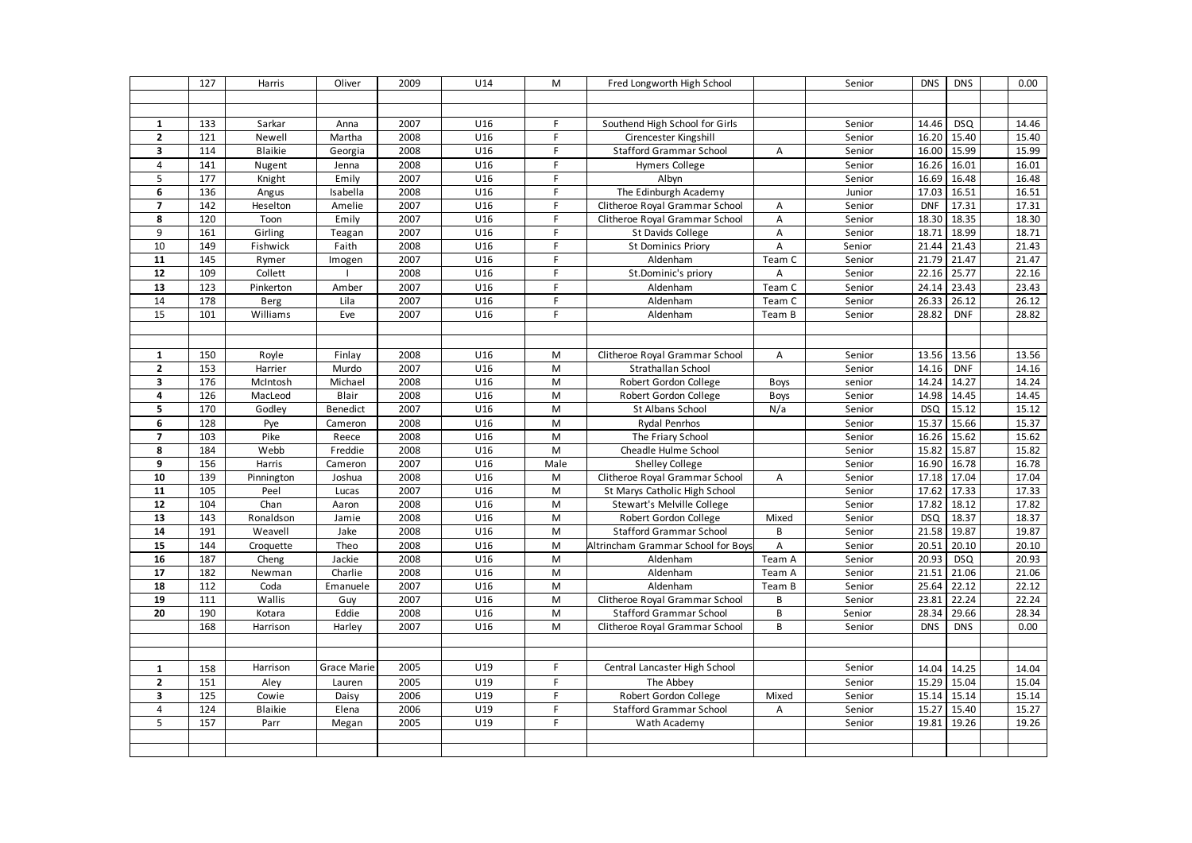|                                           | 127        | Harris             | Oliver             | 2009         | U14             | M           | Fred Longworth High School                                       |        | Senior           | <b>DNS</b>          | <b>DNS</b>          | 0.00           |
|-------------------------------------------|------------|--------------------|--------------------|--------------|-----------------|-------------|------------------------------------------------------------------|--------|------------------|---------------------|---------------------|----------------|
|                                           |            |                    |                    |              |                 |             |                                                                  |        |                  |                     |                     |                |
|                                           |            |                    |                    |              |                 |             |                                                                  |        |                  |                     |                     |                |
| $\mathbf{1}$                              | 133        | Sarkar             | Anna               | 2007         | U16             | F           | Southend High School for Girls                                   |        | Senior           | 14.46               | <b>DSQ</b>          | 14.46          |
| $\mathbf{2}$                              | 121        | Newell             | Martha             | 2008         | U16             | F.          | Cirencester Kingshill                                            |        | Senior           | 16.20               | 15.40               | 15.40          |
| 3                                         | 114        | <b>Blaikie</b>     | Georgia            | 2008         | U16             | F.          | <b>Stafford Grammar School</b>                                   | A      | Senior           | 16.00               | 15.99               | 15.99          |
| $\overline{4}$                            | 141        | Nugent             | Jenna              | 2008         | U16             | F.          | <b>Hymers College</b>                                            |        | Senior           | 16.26               | 16.01               | 16.01          |
| $\overline{\mathbf{5}}$                   | 177        | Knight             | Emily              | 2007         | U16             | F           | Albyn                                                            |        | Senior           | 16.69               | 16.48               | 16.48          |
| 6                                         | 136        | Angus              | Isabella           | 2008         | U16             | $\mathsf F$ | The Edinburgh Academy                                            |        | Junior           | 17.03               | 16.51               | 16.51          |
| $\overline{7}$                            | 142        | Heselton           | Amelie             | 2007         | U16             | F.          | Clitheroe Royal Grammar School                                   | А      | Senior           | <b>DNF</b>          | 17.31               | 17.31          |
| 8                                         | 120        | Toon               | Emily              | 2007         | U16             | F.          | Clitheroe Royal Grammar School                                   | A      | Senior           | 18.30               | 18.35               | 18.30          |
| 9                                         | 161        | Girling            | Teagan             | 2007         | U16             | F           | St Davids College                                                | А      | Senior           | 18.71               | 18.99               | 18.71          |
| 10                                        | 149        | Fishwick           | Faith              | 2008         | U16             | F           | <b>St Dominics Priory</b>                                        | А      | Senior           | 21.44               | 21.43               | 21.43          |
| 11                                        | 145        | Rymer              | Imogen             | 2007         | U16             | F.          | Aldenham                                                         | Team C | Senior           | 21.79               | 21.47               | 21.47          |
| 12                                        | 109        | Collett            |                    | 2008         | U16             | F.          | St.Dominic's priory                                              | A      | Senior           | 22.16               | 25.77               | 22.16          |
| 13                                        | 123        | Pinkerton          | Amber              | 2007         | U16             | F           | Aldenham                                                         | Team C | Senior           | 24.14               | 23.43               | 23.43          |
| 14                                        | 178        | Berg               | Lila               | 2007         | U16             | F.          | Aldenham                                                         | Team C | Senior           | 26.33               | 26.12               | 26.12          |
| 15                                        | 101        | Williams           | Eve                | 2007         | U16             | F.          | Aldenham                                                         | Team B | Senior           | 28.82               | <b>DNF</b>          | 28.82          |
|                                           |            |                    |                    |              |                 |             |                                                                  |        |                  |                     |                     |                |
|                                           |            |                    |                    |              |                 |             |                                                                  |        |                  |                     |                     |                |
| $\mathbf{1}$                              | 150        | Royle              | Finlay             | 2008         | U16             | M           | Clitheroe Royal Grammar School                                   | A      | Senior           | 13.56               | 13.56               | 13.56          |
| $\mathbf{2}$                              | 153        | Harrier            | Murdo              | 2007         | U16             | M           | Strathallan School                                               |        | Senior           | 14.16               | <b>DNF</b>          | 14.16          |
| 3                                         | 176        | McIntosh           | Michael            | 2008         | U16             | M           | Robert Gordon College                                            | Boys   | senior           | 14.24               | 14.27               | 14.24          |
| 4                                         | 126        | MacLeod            | Blair              | 2008         | U16             | ${\sf M}$   | Robert Gordon College                                            | Boys   | Senior           | 14.98               | 14.45               | 14.45          |
| 5                                         | 170        | Godley             | Benedict           | 2007         | U16             | ${\sf M}$   | St Albans School                                                 | N/a    | Senior           | <b>DSQ</b>          | 15.12               | 15.12          |
| 6                                         | 128        | Pye                | Cameron            | 2008         | U16             | M           | Rydal Penrhos                                                    |        | Senior           | 15.37               | 15.66               | 15.37          |
| $\overline{\phantom{a}}$                  | 103        | Pike               | Reece              | 2008         | U16             | M           | The Friary School                                                |        | Senior           | 16.26               | 15.62               | 15.62          |
| 8                                         | 184        | Webb               | Freddie            | 2008         | U16             | M           | Cheadle Hulme School                                             |        | Senior           | 15.82               | 15.87               | 15.82          |
| 9                                         | 156        | Harris             | Cameron            | 2007         | U16             | Male        | <b>Shelley College</b>                                           |        | Senior           | 16.90               | 16.78               | 16.78          |
| 10                                        | 139        | Pinnington         | Joshua             | 2008         | U16             | M           | Clitheroe Royal Grammar School                                   | A      | Senior           | 17.18               | 17.04               | 17.04          |
| 11                                        | 105        | Peel               | Lucas              | 2007         | U16             | M           | St Marys Catholic High School                                    |        | Senior           | 17.62               | 17.33               | 17.33          |
| 12                                        | 104        | Chan               | Aaron              | 2008         | U16             | M           | Stewart's Melville College                                       |        | Senior           | 17.82               | 18.12               | 17.82          |
| 13                                        | 143        | Ronaldson          | Jamie              | 2008         | U16             | M           | Robert Gordon College                                            | Mixed  | Senior           | <b>DSQ</b>          | 18.37               | 18.37          |
| 14                                        | 191        | Weavell            | Jake               | 2008         | U16             | M           | <b>Stafford Grammar School</b>                                   | B      | Senior           | 21.58               | 19.87               | 19.87          |
| 15                                        | 144        | Croquette          | Theo               | 2008         | U16             | M           | Altrincham Grammar School for Boys                               | A      | Senior           | 20.51               | 20.10               | 20.10          |
| 16                                        | 187        | Cheng              | Jackie             | 2008         | U16             | M           | Aldenham                                                         | Team A | Senior           | 20.93               | <b>DSQ</b>          | 20.93          |
| 17                                        | 182        | Newman             | Charlie            | 2008         | U16             | M           | Aldenham                                                         | Team A | Senior           | 21.51               | 21.06               | 21.06          |
| 18<br>19                                  | 112<br>111 | Coda<br>Wallis     | Emanuele           | 2007         | U16<br>U16      | M<br>M      | Aldenham                                                         | Team B | Senior           | 25.64               | 22.12               | 22.12          |
| 20                                        | 190        |                    | Guy<br>Eddie       | 2007         | U16             | M           | Clitheroe Royal Grammar School                                   | В<br>B | Senior           | 23.81               | 22.24               | 22.24<br>28.34 |
|                                           | 168        | Kotara<br>Harrison | Harley             | 2008<br>2007 | U <sub>16</sub> | M           | <b>Stafford Grammar School</b><br>Clitheroe Royal Grammar School | B      | Senior<br>Senior | 28.34<br><b>DNS</b> | 29.66<br><b>DNS</b> | 0.00           |
|                                           |            |                    |                    |              |                 |             |                                                                  |        |                  |                     |                     |                |
|                                           |            |                    |                    |              |                 |             |                                                                  |        |                  |                     |                     |                |
|                                           |            | Harrison           | <b>Grace Marie</b> | 2005         | U19             | F.          | Central Lancaster High School                                    |        | Senior           |                     |                     |                |
| $\mathbf{1}$                              | 158        |                    |                    |              | U19             |             |                                                                  |        |                  |                     | 14.04 14.25         | 14.04          |
| $\overline{2}$<br>$\overline{\mathbf{3}}$ | 151        | Aley<br>Cowie      | Lauren             | 2005         | U <sub>19</sub> | F.<br>F.    | The Abbey                                                        |        | Senior           |                     | 15.29 15.04         | 15.04          |
| $\overline{4}$                            | 125<br>124 |                    | Daisy              | 2006         | U19             | F           | Robert Gordon College                                            | Mixed  | Senior           | 15.14               | 15.14               | 15.14          |
| 5                                         | 157        | <b>Blaikie</b>     | Elena              | 2006<br>2005 | U19             | F           | <b>Stafford Grammar School</b>                                   | А      | Senior           | 15.27<br>19.81      | 15.40<br>19.26      | 15.27<br>19.26 |
|                                           |            | Parr               | Megan              |              |                 |             | Wath Academy                                                     |        | Senior           |                     |                     |                |
|                                           |            |                    |                    |              |                 |             |                                                                  |        |                  |                     |                     |                |
|                                           |            |                    |                    |              |                 |             |                                                                  |        |                  |                     |                     |                |